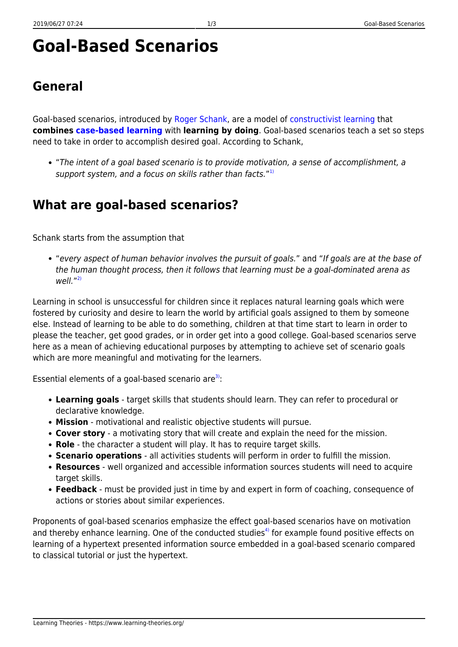# **Goal-Based Scenarios**

# **General**

Goal-based scenarios, introduced by [Roger Schank](http://www.rogerschank.com/biography-part2.html), are a model of [constructivist learning](https://www.learning-theories.org/doku.php?id=learning_paradigms:constructivism) that **combines [case-based learning](https://www.learning-theories.org/doku.php?id=instructional_design:case-based_learning)** with **learning by doing**. Goal-based scenarios teach a set so steps need to take in order to accomplish desired goal. According to Schank,

"The intent of a goal based scenario is to provide motivation, a sense of accomplishment, a support system, and a focus on skills rather than facts."<sup>[1\)](#page--1-0)</sup>

### **What are goal-based scenarios?**

Schank starts from the assumption that

"every aspect of human behavior involves the pursuit of goals." and "If goals are at the base of the human thought process, then it follows that learning must be a goal-dominated arena as well." [2\)](#page--1-0)

Learning in school is unsuccessful for children since it replaces natural learning goals which were fostered by curiosity and desire to learn the world by artificial goals assigned to them by someone else. Instead of learning to be able to do something, children at that time start to learn in order to please the teacher, get good grades, or in order get into a good college. Goal-based scenarios serve here as a mean of achieving educational purposes by attempting to achieve set of scenario goals which are more meaningful and motivating for the learners.

Essential elements of a goal-based scenario are<sup>[3\)](#page--1-0)</sup>:

- **Learning goals** target skills that students should learn. They can refer to procedural or declarative knowledge.
- **Mission** motivational and realistic objective students will pursue.
- **Cover story** a motivating story that will create and explain the need for the mission.
- **Role** the character a student will play. It has to require target skills.
- **Scenario operations** all activities students will perform in order to fulfill the mission.
- **Resources** well organized and accessible information sources students will need to acquire target skills.
- **Feedback** must be provided just in time by and expert in form of coaching, consequence of actions or stories about similar experiences.

Proponents of goal-based scenarios emphasize the effect goal-based scenarios have on motivation and thereby enhance learning. One of the conducted studies<sup>[4\)](#page--1-0)</sup> for example found positive effects on learning of a hypertext presented information source embedded in a goal-based scenario compared to classical tutorial or just the hypertext.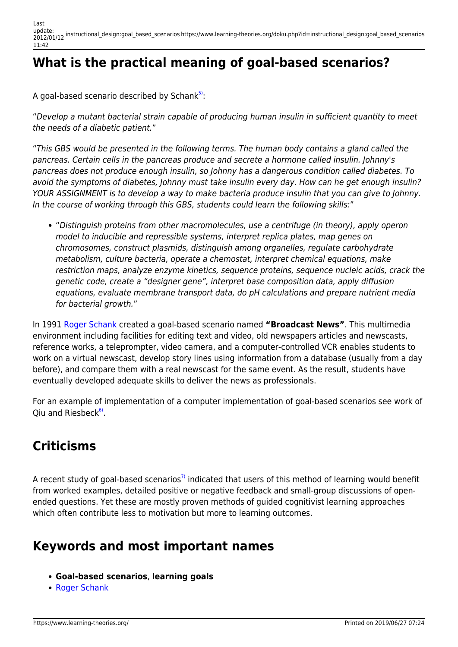# **What is the practical meaning of goal-based scenarios?**

A goal-based scenario described by Schank $^{5}$ :

"Develop a mutant bacterial strain capable of producing human insulin in sufficient quantity to meet the needs of a diabetic patient."

"This GBS would be presented in the following terms. The human body contains a gland called the pancreas. Certain cells in the pancreas produce and secrete a hormone called insulin. Johnny's pancreas does not produce enough insulin, so Johnny has a dangerous condition called diabetes. To avoid the symptoms of diabetes, Johnny must take insulin every day. How can he get enough insulin? YOUR ASSIGNMENT is to develop a way to make bacteria produce insulin that you can give to Johnny. In the course of working through this GBS, students could learn the following skills:"

"Distinguish proteins from other macromolecules, use a centrifuge (in theory), apply operon model to inducible and repressible systems, interpret replica plates, map genes on chromosomes, construct plasmids, distinguish among organelles, regulate carbohydrate metabolism, culture bacteria, operate a chemostat, interpret chemical equations, make restriction maps, analyze enzyme kinetics, sequence proteins, sequence nucleic acids, crack the genetic code, create a "designer gene", interpret base composition data, apply diffusion equations, evaluate membrane transport data, do pH calculations and prepare nutrient media for bacterial growth."

In 1991 [Roger Schank](http://www.rogerschank.com/biography-part2.html) created a goal-based scenario named **"Broadcast News"**. This multimedia environment including facilities for editing text and video, old newspapers articles and newscasts, reference works, a teleprompter, video camera, and a computer-controlled VCR enables students to work on a virtual newscast, develop story lines using information from a database (usually from a day before), and compare them with a real newscast for the same event. As the result, students have eventually developed adequate skills to deliver the news as professionals.

For an example of implementation of a computer implementation of goal-based scenarios see work of Qiu and Riesbeck<sup>[6\)](#page--1-0)</sup>.

# **Criticisms**

A recent study of goal-based scenarios<sup>[7\)](#page--1-0)</sup> indicated that users of this method of learning would benefit from worked examples, detailed positive or negative feedback and small-group discussions of openended questions. Yet these are mostly proven methods of guided cognitivist learning approaches which often contribute less to motivation but more to learning outcomes.

### **Keywords and most important names**

- **Goal-based scenarios**, **learning goals**
- [Roger Schank](http://www.google.hr/url?sa=t&source=web&cd=2&ved=0CCsQFjAB&url=http%3A%2F%2Fwww.rogerschank.com%2F&rct=j&q=Roger%20C.%20Schank&ei=n0bJTZ_0J4jpOdmwodAH&usg=AFQjCNHjy3-XlPBqLalctMxKl70XyxVkWw&cad=rja)